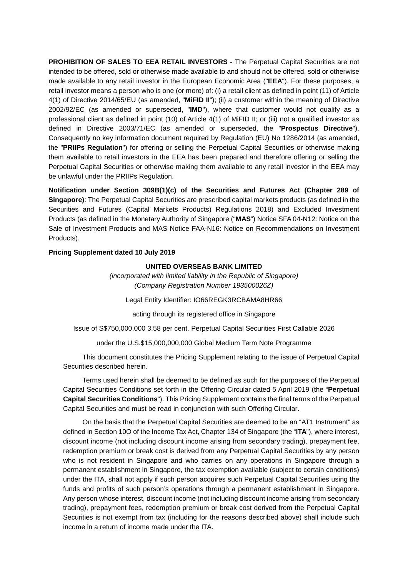**PROHIBITION OF SALES TO EEA RETAIL INVESTORS** - The Perpetual Capital Securities are not intended to be offered, sold or otherwise made available to and should not be offered, sold or otherwise made available to any retail investor in the European Economic Area ("**EEA**"). For these purposes, a retail investor means a person who is one (or more) of: (i) a retail client as defined in point (11) of Article 4(1) of Directive 2014/65/EU (as amended, "**MiFID II**"); (ii) a customer within the meaning of Directive 2002/92/EC (as amended or superseded, "**IMD**"), where that customer would not qualify as a professional client as defined in point (10) of Article 4(1) of MiFID II; or (iii) not a qualified investor as defined in Directive 2003/71/EC (as amended or superseded, the "**Prospectus Directive**"). Consequently no key information document required by Regulation (EU) No 1286/2014 (as amended, the "**PRIIPs Regulation**") for offering or selling the Perpetual Capital Securities or otherwise making them available to retail investors in the EEA has been prepared and therefore offering or selling the Perpetual Capital Securities or otherwise making them available to any retail investor in the EEA may be unlawful under the PRIIPs Regulation.

**Notification under Section 309B(1)(c) of the Securities and Futures Act (Chapter 289 of Singapore)**: The Perpetual Capital Securities are prescribed capital markets products (as defined in the Securities and Futures (Capital Markets Products) Regulations 2018) and Excluded Investment Products (as defined in the Monetary Authority of Singapore ("**MAS**") Notice SFA 04-N12: Notice on the Sale of Investment Products and MAS Notice FAA-N16: Notice on Recommendations on Investment Products).

#### **Pricing Supplement dated 10 July 2019**

#### **UNITED OVERSEAS BANK LIMITED**

*(incorporated with limited liability in the Republic of Singapore) (Company Registration Number 193500026Z)*

Legal Entity Identifier: IO66REGK3RCBAMA8HR66

acting through its registered office in Singapore

Issue of S\$750,000,000 3.58 per cent. Perpetual Capital Securities First Callable 2026

under the U.S.\$15,000,000,000 Global Medium Term Note Programme

This document constitutes the Pricing Supplement relating to the issue of Perpetual Capital Securities described herein.

Terms used herein shall be deemed to be defined as such for the purposes of the Perpetual Capital Securities Conditions set forth in the Offering Circular dated 5 April 2019 (the "**Perpetual Capital Securities Conditions**"). This Pricing Supplement contains the final terms of the Perpetual Capital Securities and must be read in conjunction with such Offering Circular.

On the basis that the Perpetual Capital Securities are deemed to be an "AT1 Instrument" as defined in Section 10O of the Income Tax Act, Chapter 134 of Singapore (the "**ITA**"), where interest, discount income (not including discount income arising from secondary trading), prepayment fee, redemption premium or break cost is derived from any Perpetual Capital Securities by any person who is not resident in Singapore and who carries on any operations in Singapore through a permanent establishment in Singapore, the tax exemption available (subject to certain conditions) under the ITA, shall not apply if such person acquires such Perpetual Capital Securities using the funds and profits of such person's operations through a permanent establishment in Singapore. Any person whose interest, discount income (not including discount income arising from secondary trading), prepayment fees, redemption premium or break cost derived from the Perpetual Capital Securities is not exempt from tax (including for the reasons described above) shall include such income in a return of income made under the ITA.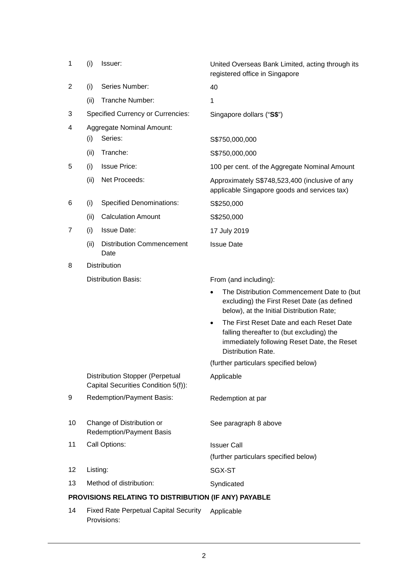| 1                                                    | (i)  | Issuer:                                                                       | United Overseas Bank Limited, acting through its<br>registered office in Singapore                                                                                      |  |
|------------------------------------------------------|------|-------------------------------------------------------------------------------|-------------------------------------------------------------------------------------------------------------------------------------------------------------------------|--|
| $\overline{2}$                                       | (i)  | Series Number:                                                                | 40                                                                                                                                                                      |  |
|                                                      | (ii) | Tranche Number:                                                               | 1                                                                                                                                                                       |  |
| 3                                                    |      | <b>Specified Currency or Currencies:</b>                                      | Singapore dollars ("S\$")                                                                                                                                               |  |
| 4                                                    |      | <b>Aggregate Nominal Amount:</b>                                              |                                                                                                                                                                         |  |
|                                                      | (i)  | Series:                                                                       | S\$750,000,000                                                                                                                                                          |  |
|                                                      | (ii) | Tranche:                                                                      | S\$750,000,000                                                                                                                                                          |  |
| 5                                                    | (i)  | <b>Issue Price:</b>                                                           | 100 per cent. of the Aggregate Nominal Amount                                                                                                                           |  |
|                                                      | (ii) | Net Proceeds:                                                                 | Approximately S\$748,523,400 (inclusive of any<br>applicable Singapore goods and services tax)                                                                          |  |
| 6                                                    | (i)  | <b>Specified Denominations:</b>                                               | S\$250,000                                                                                                                                                              |  |
|                                                      | (ii) | <b>Calculation Amount</b>                                                     | S\$250,000                                                                                                                                                              |  |
| $\overline{7}$                                       | (i)  | <b>Issue Date:</b>                                                            | 17 July 2019                                                                                                                                                            |  |
|                                                      | (ii) | <b>Distribution Commencement</b><br>Date                                      | <b>Issue Date</b>                                                                                                                                                       |  |
| 8                                                    |      | Distribution                                                                  |                                                                                                                                                                         |  |
|                                                      |      | <b>Distribution Basis:</b>                                                    | From (and including):                                                                                                                                                   |  |
|                                                      |      |                                                                               | The Distribution Commencement Date to (but<br>$\bullet$<br>excluding) the First Reset Date (as defined<br>below), at the Initial Distribution Rate;                     |  |
|                                                      |      |                                                                               | The First Reset Date and each Reset Date<br>$\bullet$<br>falling thereafter to (but excluding) the<br>immediately following Reset Date, the Reset<br>Distribution Rate. |  |
|                                                      |      |                                                                               | (further particulars specified below)                                                                                                                                   |  |
|                                                      |      | <b>Distribution Stopper (Perpetual</b><br>Capital Securities Condition 5(f)): | Applicable                                                                                                                                                              |  |
| 9                                                    |      | Redemption/Payment Basis:                                                     | Redemption at par                                                                                                                                                       |  |
| 10                                                   |      | Change of Distribution or<br>Redemption/Payment Basis                         | See paragraph 8 above                                                                                                                                                   |  |
| 11                                                   |      | Call Options:                                                                 | <b>Issuer Call</b>                                                                                                                                                      |  |
|                                                      |      |                                                                               | (further particulars specified below)                                                                                                                                   |  |
| 12                                                   |      | Listing:                                                                      | SGX-ST                                                                                                                                                                  |  |
| 13                                                   |      | Method of distribution:                                                       | Syndicated                                                                                                                                                              |  |
| PROVISIONS RELATING TO DISTRIBUTION (IF ANY) PAYABLE |      |                                                                               |                                                                                                                                                                         |  |
| 14                                                   |      | <b>Fixed Rate Perpetual Capital Security</b>                                  | Applicable                                                                                                                                                              |  |

Provisions: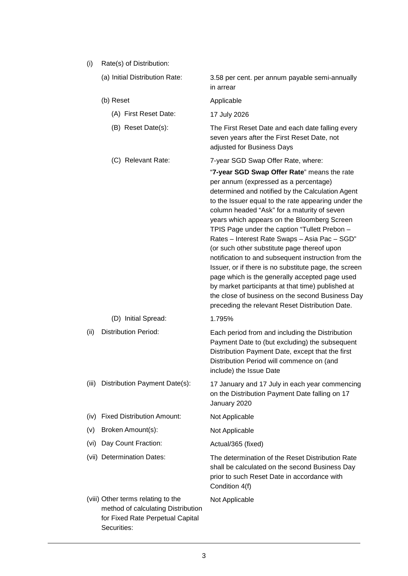(i) Rate(s) of Distribution:

|          | (a) Initial Distribution Rate:                                                                               | 3.58 per cent. per annum payable semi-annually<br>in arrear                                                                                                                                                                                                                                                                                                                                                                                                                                                                                                                                                                                                                                                                                                                  |
|----------|--------------------------------------------------------------------------------------------------------------|------------------------------------------------------------------------------------------------------------------------------------------------------------------------------------------------------------------------------------------------------------------------------------------------------------------------------------------------------------------------------------------------------------------------------------------------------------------------------------------------------------------------------------------------------------------------------------------------------------------------------------------------------------------------------------------------------------------------------------------------------------------------------|
|          | (b) Reset                                                                                                    | Applicable                                                                                                                                                                                                                                                                                                                                                                                                                                                                                                                                                                                                                                                                                                                                                                   |
|          | (A) First Reset Date:                                                                                        | 17 July 2026                                                                                                                                                                                                                                                                                                                                                                                                                                                                                                                                                                                                                                                                                                                                                                 |
|          | (B) Reset Date(s):                                                                                           | The First Reset Date and each date falling every<br>seven years after the First Reset Date, not<br>adjusted for Business Days                                                                                                                                                                                                                                                                                                                                                                                                                                                                                                                                                                                                                                                |
|          | (C) Relevant Rate:                                                                                           | 7-year SGD Swap Offer Rate, where:                                                                                                                                                                                                                                                                                                                                                                                                                                                                                                                                                                                                                                                                                                                                           |
|          |                                                                                                              | "7-year SGD Swap Offer Rate" means the rate<br>per annum (expressed as a percentage)<br>determined and notified by the Calculation Agent<br>to the Issuer equal to the rate appearing under the<br>column headed "Ask" for a maturity of seven<br>years which appears on the Bloomberg Screen<br>TPIS Page under the caption "Tullett Prebon -<br>Rates - Interest Rate Swaps - Asia Pac - SGD"<br>(or such other substitute page thereof upon<br>notification to and subsequent instruction from the<br>Issuer, or if there is no substitute page, the screen<br>page which is the generally accepted page used<br>by market participants at that time) published at<br>the close of business on the second Business Day<br>preceding the relevant Reset Distribution Date. |
|          | (D) Initial Spread:                                                                                          | 1.795%                                                                                                                                                                                                                                                                                                                                                                                                                                                                                                                                                                                                                                                                                                                                                                       |
| (ii)     | <b>Distribution Period:</b>                                                                                  | Each period from and including the Distribution<br>Payment Date to (but excluding) the subsequent<br>Distribution Payment Date, except that the first<br>Distribution Period will commence on (and<br>include) the Issue Date                                                                                                                                                                                                                                                                                                                                                                                                                                                                                                                                                |
| (iii)    | Distribution Payment Date(s):                                                                                | 17 January and 17 July in each year commencing<br>on the Distribution Payment Date falling on 17<br>January 2020                                                                                                                                                                                                                                                                                                                                                                                                                                                                                                                                                                                                                                                             |
| (iv)     | <b>Fixed Distribution Amount:</b>                                                                            | Not Applicable                                                                                                                                                                                                                                                                                                                                                                                                                                                                                                                                                                                                                                                                                                                                                               |
| $(\vee)$ | Broken Amount(s):                                                                                            | Not Applicable                                                                                                                                                                                                                                                                                                                                                                                                                                                                                                                                                                                                                                                                                                                                                               |
| (vi)     | Day Count Fraction:                                                                                          | Actual/365 (fixed)                                                                                                                                                                                                                                                                                                                                                                                                                                                                                                                                                                                                                                                                                                                                                           |
|          | (vii) Determination Dates:                                                                                   | The determination of the Reset Distribution Rate<br>shall be calculated on the second Business Day<br>prior to such Reset Date in accordance with<br>Condition 4(f)                                                                                                                                                                                                                                                                                                                                                                                                                                                                                                                                                                                                          |
|          | (viii) Other terms relating to the<br>method of calculating Distribution<br>for Fixed Rate Perpetual Capital | Not Applicable                                                                                                                                                                                                                                                                                                                                                                                                                                                                                                                                                                                                                                                                                                                                                               |

Securities: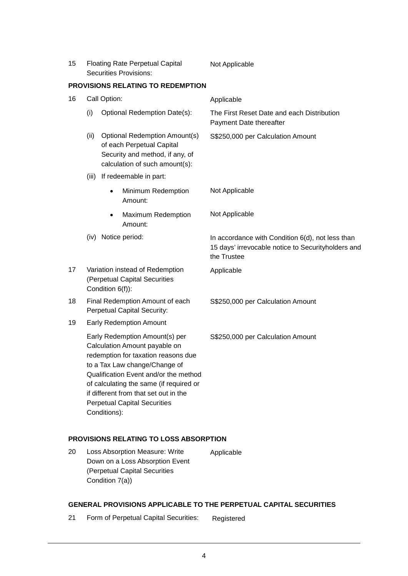| 15 | <b>Floating Rate Perpetual Capital</b> | Not Applicable |
|----|----------------------------------------|----------------|
|    | Securities Provisions:                 |                |

#### **PROVISIONS RELATING TO REDEMPTION**

| (i)<br>(ii) | Optional Redemption Date(s):<br><b>Optional Redemption Amount(s)</b><br>of each Perpetual Capital | The First Reset Date and each Distribution<br>Payment Date thereafter<br>S\$250,000 per Calculation Amount                                                                                                                                                                                                                                                                                                                                                                                                                                     |
|-------------|---------------------------------------------------------------------------------------------------|------------------------------------------------------------------------------------------------------------------------------------------------------------------------------------------------------------------------------------------------------------------------------------------------------------------------------------------------------------------------------------------------------------------------------------------------------------------------------------------------------------------------------------------------|
|             |                                                                                                   |                                                                                                                                                                                                                                                                                                                                                                                                                                                                                                                                                |
|             | Security and method, if any, of<br>calculation of such amount(s):                                 |                                                                                                                                                                                                                                                                                                                                                                                                                                                                                                                                                |
| (iii)       | If redeemable in part:                                                                            |                                                                                                                                                                                                                                                                                                                                                                                                                                                                                                                                                |
|             | Minimum Redemption<br>Amount:                                                                     | Not Applicable                                                                                                                                                                                                                                                                                                                                                                                                                                                                                                                                 |
|             | Maximum Redemption<br>$\bullet$<br>Amount:                                                        | Not Applicable                                                                                                                                                                                                                                                                                                                                                                                                                                                                                                                                 |
|             |                                                                                                   | In accordance with Condition 6(d), not less than<br>15 days' irrevocable notice to Securityholders and<br>the Trustee                                                                                                                                                                                                                                                                                                                                                                                                                          |
|             |                                                                                                   | Applicable                                                                                                                                                                                                                                                                                                                                                                                                                                                                                                                                     |
|             |                                                                                                   | S\$250,000 per Calculation Amount                                                                                                                                                                                                                                                                                                                                                                                                                                                                                                              |
|             |                                                                                                   |                                                                                                                                                                                                                                                                                                                                                                                                                                                                                                                                                |
|             |                                                                                                   | S\$250,000 per Calculation Amount                                                                                                                                                                                                                                                                                                                                                                                                                                                                                                              |
|             |                                                                                                   | (iv) Notice period:<br>Variation instead of Redemption<br>(Perpetual Capital Securities<br>Condition 6(f)):<br>Final Redemption Amount of each<br>Perpetual Capital Security:<br><b>Early Redemption Amount</b><br>Early Redemption Amount(s) per<br>Calculation Amount payable on<br>redemption for taxation reasons due<br>to a Tax Law change/Change of<br>Qualification Event and/or the method<br>of calculating the same (if required or<br>if different from that set out in the<br><b>Perpetual Capital Securities</b><br>Conditions): |

## **PROVISIONS RELATING TO LOSS ABSORPTION**

20 Loss Absorption Measure: Write Down on a Loss Absorption Event (Perpetual Capital Securities Condition 7(a)) Applicable

## **GENERAL PROVISIONS APPLICABLE TO THE PERPETUAL CAPITAL SECURITIES**

21 Form of Perpetual Capital Securities: Registered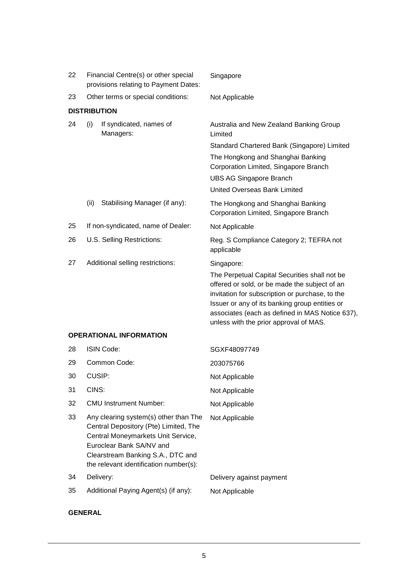| 22 | Financial Centre(s) or other special<br>provisions relating to Payment Dates: |                                                                                                                                                                                                                                 | Singapore                                                                                                                                                                                                                                                                                                      |
|----|-------------------------------------------------------------------------------|---------------------------------------------------------------------------------------------------------------------------------------------------------------------------------------------------------------------------------|----------------------------------------------------------------------------------------------------------------------------------------------------------------------------------------------------------------------------------------------------------------------------------------------------------------|
| 23 | Other terms or special conditions:                                            |                                                                                                                                                                                                                                 | Not Applicable                                                                                                                                                                                                                                                                                                 |
|    |                                                                               | <b>DISTRIBUTION</b>                                                                                                                                                                                                             |                                                                                                                                                                                                                                                                                                                |
| 24 | (i)                                                                           | If syndicated, names of<br>Managers:                                                                                                                                                                                            | Australia and New Zealand Banking Group<br>Limited                                                                                                                                                                                                                                                             |
|    |                                                                               |                                                                                                                                                                                                                                 | Standard Chartered Bank (Singapore) Limited<br>The Hongkong and Shanghai Banking<br>Corporation Limited, Singapore Branch<br><b>UBS AG Singapore Branch</b>                                                                                                                                                    |
|    |                                                                               |                                                                                                                                                                                                                                 | <b>United Overseas Bank Limited</b>                                                                                                                                                                                                                                                                            |
|    | (ii)                                                                          | Stabilising Manager (if any):                                                                                                                                                                                                   | The Hongkong and Shanghai Banking<br>Corporation Limited, Singapore Branch                                                                                                                                                                                                                                     |
| 25 |                                                                               | If non-syndicated, name of Dealer:                                                                                                                                                                                              | Not Applicable                                                                                                                                                                                                                                                                                                 |
| 26 |                                                                               | U.S. Selling Restrictions:                                                                                                                                                                                                      | Reg. S Compliance Category 2; TEFRA not<br>applicable                                                                                                                                                                                                                                                          |
| 27 |                                                                               | Additional selling restrictions:                                                                                                                                                                                                | Singapore:<br>The Perpetual Capital Securities shall not be<br>offered or sold, or be made the subject of an<br>invitation for subscription or purchase, to the<br>Issuer or any of its banking group entities or<br>associates (each as defined in MAS Notice 637),<br>unless with the prior approval of MAS. |
|    |                                                                               | <b>OPERATIONAL INFORMATION</b>                                                                                                                                                                                                  |                                                                                                                                                                                                                                                                                                                |
| 28 |                                                                               | <b>ISIN Code:</b>                                                                                                                                                                                                               | SGXF48097749                                                                                                                                                                                                                                                                                                   |
| 29 |                                                                               | Common Code:                                                                                                                                                                                                                    | 203075766                                                                                                                                                                                                                                                                                                      |
| 30 | CUSIP:                                                                        |                                                                                                                                                                                                                                 | Not Applicable                                                                                                                                                                                                                                                                                                 |
| 31 | CINS:                                                                         |                                                                                                                                                                                                                                 | Not Applicable                                                                                                                                                                                                                                                                                                 |
| 32 |                                                                               | <b>CMU Instrument Number:</b>                                                                                                                                                                                                   | Not Applicable                                                                                                                                                                                                                                                                                                 |
| 33 |                                                                               | Any clearing system(s) other than The<br>Central Depository (Pte) Limited, The<br>Central Moneymarkets Unit Service,<br>Euroclear Bank SA/NV and<br>Clearstream Banking S.A., DTC and<br>the relevant identification number(s): | Not Applicable                                                                                                                                                                                                                                                                                                 |
| 34 |                                                                               | Delivery:                                                                                                                                                                                                                       | Delivery against payment                                                                                                                                                                                                                                                                                       |

- 35 Additional Paying Agent(s) (if any): Not Applicable
- 

# **GENERAL**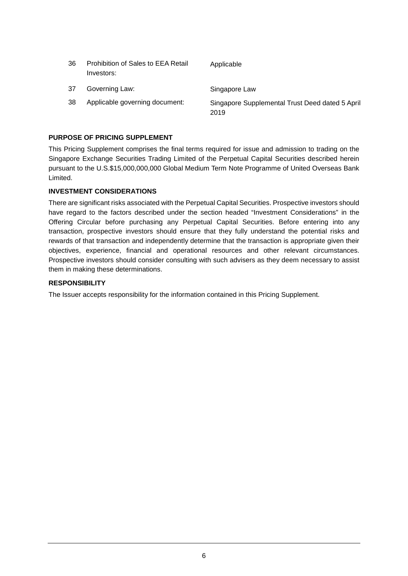| 36 | Prohibition of Sales to EEA Retail<br>Investors: | Applicable                                              |
|----|--------------------------------------------------|---------------------------------------------------------|
| 37 | Governing Law:                                   | Singapore Law                                           |
| 38 | Applicable governing document:                   | Singapore Supplemental Trust Deed dated 5 April<br>2019 |

## **PURPOSE OF PRICING SUPPLEMENT**

This Pricing Supplement comprises the final terms required for issue and admission to trading on the Singapore Exchange Securities Trading Limited of the Perpetual Capital Securities described herein pursuant to the U.S.\$15,000,000,000 Global Medium Term Note Programme of United Overseas Bank Limited.

## **INVESTMENT CONSIDERATIONS**

There are significant risks associated with the Perpetual Capital Securities. Prospective investors should have regard to the factors described under the section headed "Investment Considerations" in the Offering Circular before purchasing any Perpetual Capital Securities. Before entering into any transaction, prospective investors should ensure that they fully understand the potential risks and rewards of that transaction and independently determine that the transaction is appropriate given their objectives, experience, financial and operational resources and other relevant circumstances. Prospective investors should consider consulting with such advisers as they deem necessary to assist them in making these determinations.

#### **RESPONSIBILITY**

The Issuer accepts responsibility for the information contained in this Pricing Supplement.